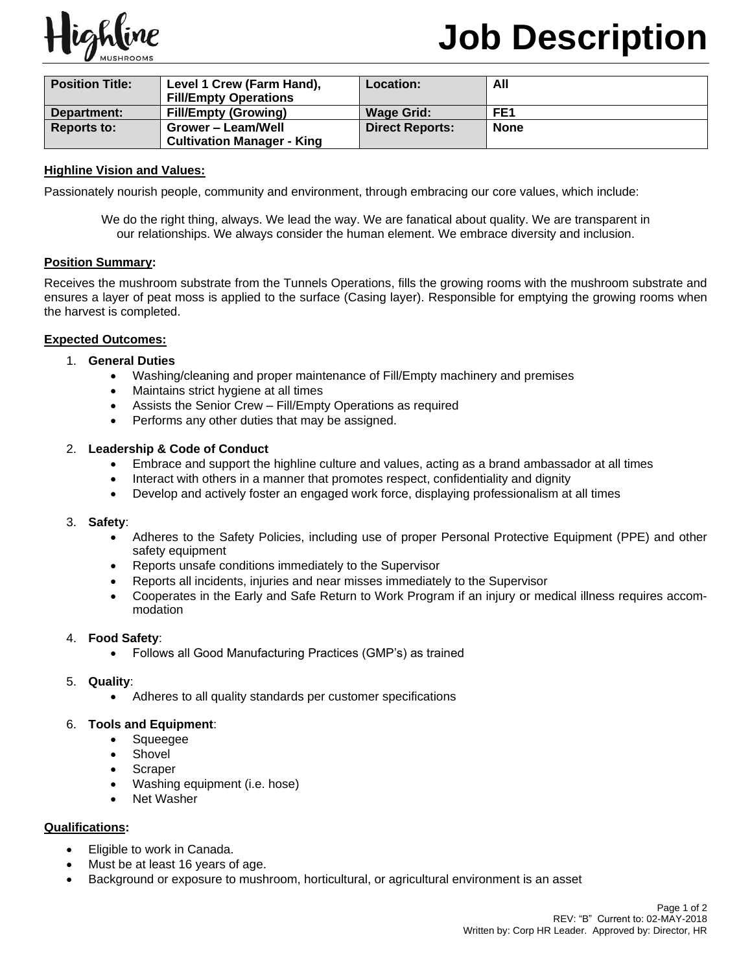

# **Job Description**

| <b>Position Title:</b> | Level 1 Crew (Farm Hand),         | Location:              | All             |
|------------------------|-----------------------------------|------------------------|-----------------|
|                        | <b>Fill/Empty Operations</b>      |                        |                 |
| Department:            | <b>Fill/Empty (Growing)</b>       | <b>Wage Grid:</b>      | FE <sub>1</sub> |
| <b>Reports to:</b>     | Grower – Leam/Well                | <b>Direct Reports:</b> | <b>None</b>     |
|                        | <b>Cultivation Manager - King</b> |                        |                 |

# **Highline Vision and Values:**

Passionately nourish people, community and environment, through embracing our core values, which include:

We do the right thing, always. We lead the way. We are fanatical about quality. We are transparent in our relationships. We always consider the human element. We embrace diversity and inclusion.

#### **Position Summary:**

Receives the mushroom substrate from the Tunnels Operations, fills the growing rooms with the mushroom substrate and ensures a layer of peat moss is applied to the surface (Casing layer). Responsible for emptying the growing rooms when the harvest is completed.

# **Expected Outcomes:**

# 1. **General Duties**

- Washing/cleaning and proper maintenance of Fill/Empty machinery and premises
- Maintains strict hygiene at all times
- Assists the Senior Crew Fill/Empty Operations as required
- Performs any other duties that may be assigned.

# 2. **Leadership & Code of Conduct**

- Embrace and support the highline culture and values, acting as a brand ambassador at all times
- Interact with others in a manner that promotes respect, confidentiality and dignity
- Develop and actively foster an engaged work force, displaying professionalism at all times

#### 3. **Safety**:

- Adheres to the Safety Policies, including use of proper Personal Protective Equipment (PPE) and other safety equipment
- Reports unsafe conditions immediately to the Supervisor
- Reports all incidents, injuries and near misses immediately to the Supervisor
- Cooperates in the Early and Safe Return to Work Program if an injury or medical illness requires accommodation

#### 4. **Food Safety**:

- Follows all Good Manufacturing Practices (GMP's) as trained
- 5. **Quality**:
	- Adheres to all quality standards per customer specifications

#### 6. **Tools and Equipment**:

- Squeegee
- **Shovel**
- **Scraper**
- Washing equipment (i.e. hose)
- **Net Washer**

# **Qualifications:**

- Eligible to work in Canada.
- Must be at least 16 years of age.
- Background or exposure to mushroom, horticultural, or agricultural environment is an asset